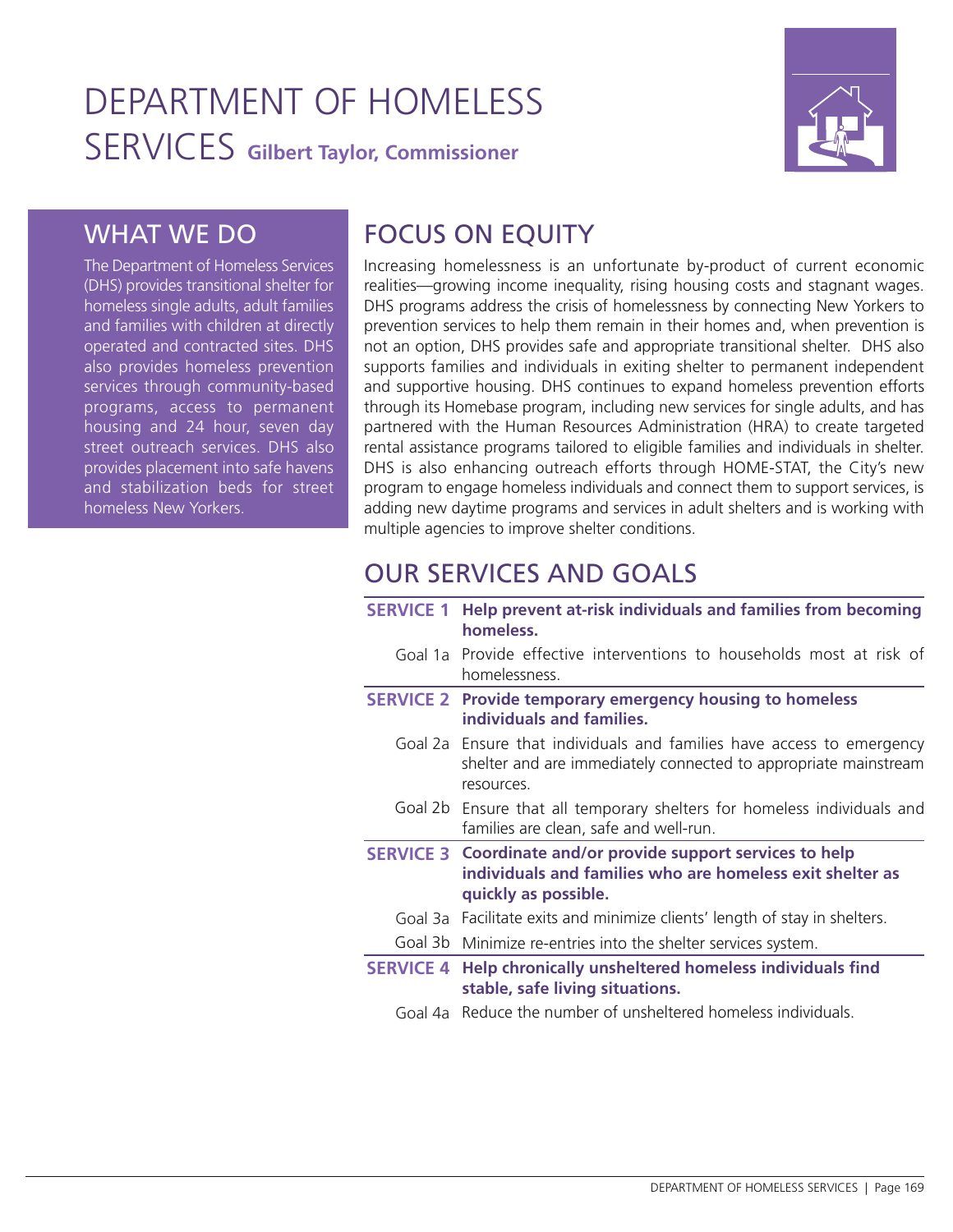# DEPARTMENT OF HOMELESS SERVICES **Gilbert Taylor, Commissioner**



## WHAT WE DO

The Department of Homeless Services (DHS) provides transitional shelter for homeless single adults, adult families and families with children at directly operated and contracted sites. DHS also provides homeless prevention services through community-based programs, access to permanent housing and 24 hour, seven day street outreach services. DHS also provides placement into safe havens and stabilization beds for street homeless New Yorkers.

## FOCUS ON EQUITY

Increasing homelessness is an unfortunate by-product of current economic realities—growing income inequality, rising housing costs and stagnant wages. DHS programs address the crisis of homelessness by connecting New Yorkers to prevention services to help them remain in their homes and, when prevention is not an option, DHS provides safe and appropriate transitional shelter. DHS also supports families and individuals in exiting shelter to permanent independent and supportive housing. DHS continues to expand homeless prevention efforts through its Homebase program, including new services for single adults, and has partnered with the Human Resources Administration (HRA) to create targeted rental assistance programs tailored to eligible families and individuals in shelter. DHS is also enhancing outreach efforts through HOME-STAT, the City's new program to engage homeless individuals and connect them to support services, is adding new daytime programs and services in adult shelters and is working with multiple agencies to improve shelter conditions.

## OUR SERVICES AND GOALS

| <b>SERVICE 1</b> | Help prevent at-risk individuals and families from becoming<br>homeless.                                                                                 |
|------------------|----------------------------------------------------------------------------------------------------------------------------------------------------------|
|                  | Goal 1a Provide effective interventions to households most at risk of<br>homelessness.                                                                   |
|                  | <b>SERVICE 2</b> Provide temporary emergency housing to homeless<br>individuals and families.                                                            |
|                  | Goal 2a Ensure that individuals and families have access to emergency<br>shelter and are immediately connected to appropriate mainstream<br>resources.   |
|                  | Goal 2b Ensure that all temporary shelters for homeless individuals and<br>families are clean, safe and well-run.                                        |
|                  | <b>SERVICE 3 Coordinate and/or provide support services to help</b><br>individuals and families who are homeless exit shelter as<br>quickly as possible. |
|                  | Goal 3a Facilitate exits and minimize clients' length of stay in shelters.                                                                               |
|                  | Goal 3b Minimize re-entries into the shelter services system.                                                                                            |
|                  | <b>SERVICE 4 Help chronically unsheltered homeless individuals find</b><br>stable, safe living situations.                                               |
|                  | Goal 4a Reduce the number of unsheltered homeless individuals.                                                                                           |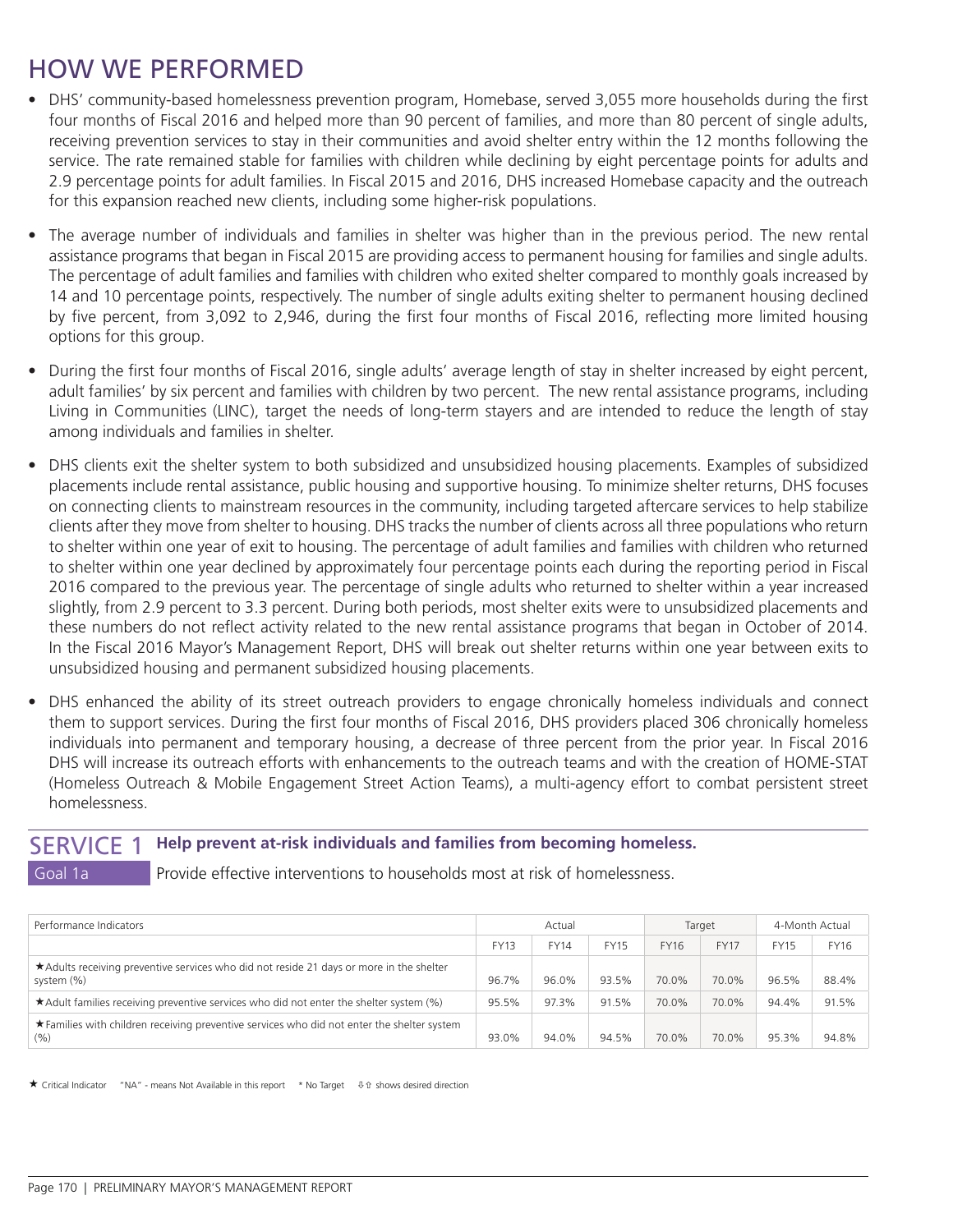## HOW WE PERFORMED

- DHS' community-based homelessness prevention program, Homebase, served 3,055 more households during the first four months of Fiscal 2016 and helped more than 90 percent of families, and more than 80 percent of single adults, receiving prevention services to stay in their communities and avoid shelter entry within the 12 months following the service. The rate remained stable for families with children while declining by eight percentage points for adults and 2.9 percentage points for adult families. In Fiscal 2015 and 2016, DHS increased Homebase capacity and the outreach for this expansion reached new clients, including some higher-risk populations.
- The average number of individuals and families in shelter was higher than in the previous period. The new rental assistance programs that began in Fiscal 2015 are providing access to permanent housing for families and single adults. The percentage of adult families and families with children who exited shelter compared to monthly goals increased by 14 and 10 percentage points, respectively. The number of single adults exiting shelter to permanent housing declined by five percent, from 3,092 to 2,946, during the first four months of Fiscal 2016, reflecting more limited housing options for this group.
- During the first four months of Fiscal 2016, single adults' average length of stay in shelter increased by eight percent, adult families' by six percent and families with children by two percent. The new rental assistance programs, including Living in Communities (LINC), target the needs of long-term stayers and are intended to reduce the length of stay among individuals and families in shelter.
- DHS clients exit the shelter system to both subsidized and unsubsidized housing placements. Examples of subsidized placements include rental assistance, public housing and supportive housing. To minimize shelter returns, DHS focuses on connecting clients to mainstream resources in the community, including targeted aftercare services to help stabilize clients after they move from shelter to housing. DHS tracks the number of clients across all three populations who return to shelter within one year of exit to housing. The percentage of adult families and families with children who returned to shelter within one year declined by approximately four percentage points each during the reporting period in Fiscal 2016 compared to the previous year. The percentage of single adults who returned to shelter within a year increased slightly, from 2.9 percent to 3.3 percent. During both periods, most shelter exits were to unsubsidized placements and these numbers do not reflect activity related to the new rental assistance programs that began in October of 2014. In the Fiscal 2016 Mayor's Management Report, DHS will break out shelter returns within one year between exits to unsubsidized housing and permanent subsidized housing placements.
- DHS enhanced the ability of its street outreach providers to engage chronically homeless individuals and connect them to support services. During the first four months of Fiscal 2016, DHS providers placed 306 chronically homeless individuals into permanent and temporary housing, a decrease of three percent from the prior year. In Fiscal 2016 DHS will increase its outreach efforts with enhancements to the outreach teams and with the creation of HOME-STAT (Homeless Outreach & Mobile Engagement Street Action Teams), a multi-agency effort to combat persistent street homelessness.

#### SERVICE 1 **Help prevent at-risk individuals and families from becoming homeless.**

Goal 1a **Provide effective interventions to households most at risk of homelessness.** 

| Performance Indicators                                                                                    | Actual                                    |       |             |             | Target      | 4-Month Actual |       |
|-----------------------------------------------------------------------------------------------------------|-------------------------------------------|-------|-------------|-------------|-------------|----------------|-------|
|                                                                                                           | <b>FY13</b><br><b>FY15</b><br><b>FY14</b> |       | <b>FY16</b> | <b>FY17</b> | <b>FY15</b> | <b>FY16</b>    |       |
| ★ Adults receiving preventive services who did not reside 21 days or more in the shelter<br>system $(\%)$ | 96.7%                                     | 96.0% | 93.5%       | 70.0%       | 70.0%       | 96.5%          | 88.4% |
| ★ Adult families receiving preventive services who did not enter the shelter system (%)                   | 95.5%                                     | 97.3% | 91.5%       | 70.0%       | 70.0%       | 94.4%          | 91.5% |
| ★ Families with children receiving preventive services who did not enter the shelter system<br>(% )       | 93.0%                                     | 94.0% | 94.5%       | 70.0%       | 70.0%       | 95.3%          | 94.8% |

 $\star$  Critical Indicator "NA" - means Not Available in this report  $\star$  No Target  $\downarrow$  fix shows desired direction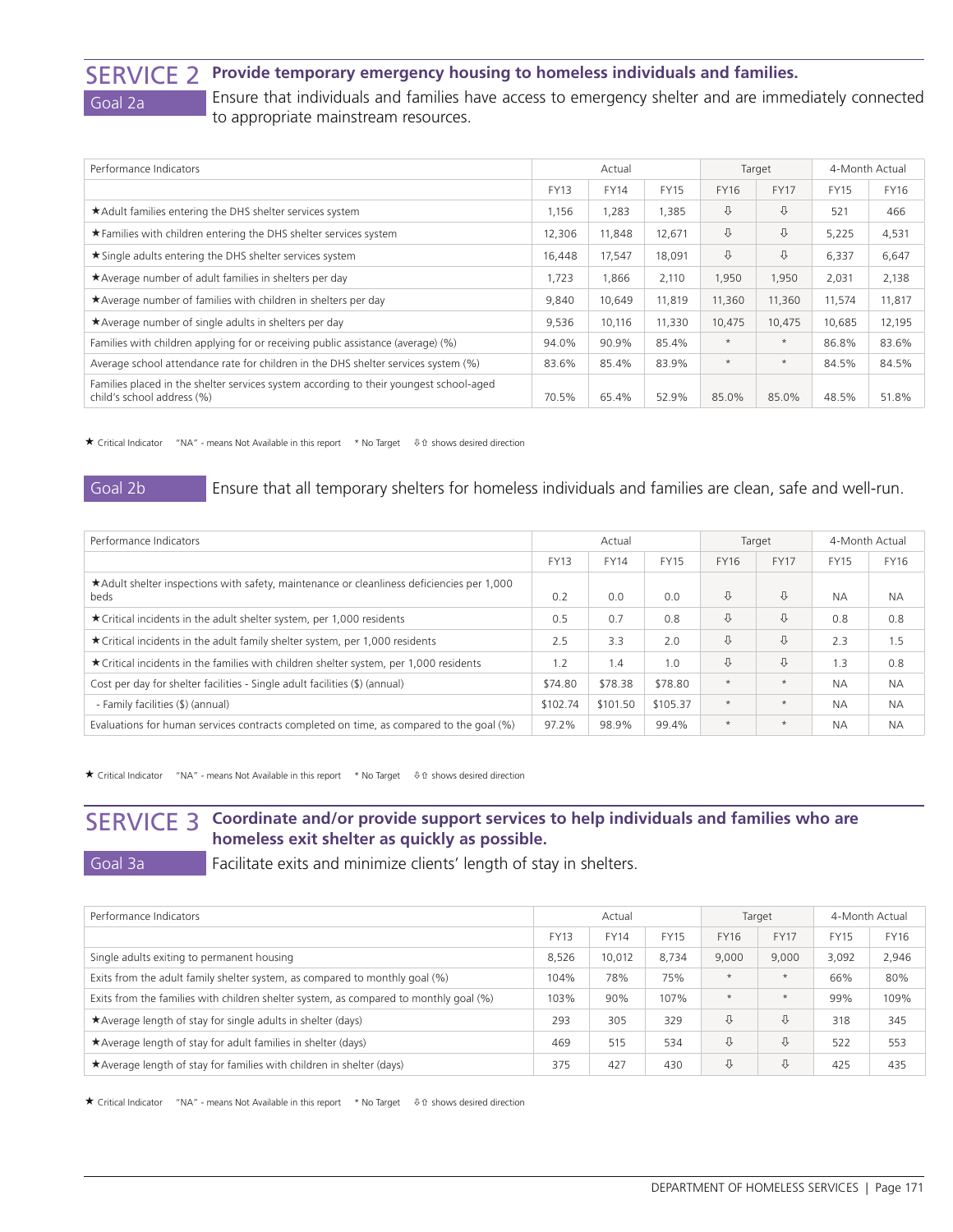### SERVICE 2 **Provide temporary emergency housing to homeless individuals and families.** Goal 2a **Ensure that individuals and families have access to emergency shelter and are immediately connected** to appropriate mainstream resources.

| Performance Indicators                                                                                               | Actual                                    |        |        | Target      |             | 4-Month Actual |        |
|----------------------------------------------------------------------------------------------------------------------|-------------------------------------------|--------|--------|-------------|-------------|----------------|--------|
|                                                                                                                      | <b>FY13</b><br><b>FY14</b><br><b>FY15</b> |        | FY16   | <b>FY17</b> | <b>FY15</b> | <b>FY16</b>    |        |
| *Adult families entering the DHS shelter services system                                                             | 1,156                                     | 1,283  | 1,385  | ⇩           | ⇩           | 521            | 466    |
| ★ Families with children entering the DHS shelter services system                                                    | 12,306                                    | 11,848 | 12,671 | ⇩           | ⇩           | 5,225          | 4,531  |
| ★ Single adults entering the DHS shelter services system                                                             | 16,448                                    | 17,547 | 18,091 | ⇩           | ⇩           | 6,337          | 6,647  |
| ★ Average number of adult families in shelters per day                                                               |                                           | 1,866  | 2,110  | 1,950       | 1,950       | 2,031          | 2,138  |
| *Average number of families with children in shelters per day                                                        | 9,840                                     | 10,649 | 11,819 | 11,360      | 11,360      | 11,574         | 11,817 |
| ★ Average number of single adults in shelters per day                                                                | 9,536                                     | 10,116 | 11,330 | 10,475      | 10,475      | 10,685         | 12,195 |
| Families with children applying for or receiving public assistance (average) (%)                                     | 94.0%                                     | 90.9%  | 85.4%  | $\star$     | $\star$     | 86.8%          | 83.6%  |
| Average school attendance rate for children in the DHS shelter services system (%)                                   |                                           | 85.4%  | 83.9%  | $\star$     | $\star$     | 84.5%          | 84.5%  |
| Families placed in the shelter services system according to their youngest school-aged<br>child's school address (%) | 70.5%                                     | 65.4%  | 52.9%  | 85.0%       | 85.0%       | 48.5%          | 51.8%  |

 $\bigstar$  Critical Indicator "NA" - means Not Available in this report \* No Target  $\theta$  shows desired direction

Goal 2b Ensure that all temporary shelters for homeless individuals and families are clean, safe and well-run.

| Performance Indicators                                                                            | Actual                                    |          |             | Target      |             | 4-Month Actual |           |
|---------------------------------------------------------------------------------------------------|-------------------------------------------|----------|-------------|-------------|-------------|----------------|-----------|
|                                                                                                   | <b>FY14</b><br><b>FY15</b><br><b>FY13</b> |          | <b>FY16</b> | <b>FY17</b> | <b>FY15</b> | <b>FY16</b>    |           |
| ★Adult shelter inspections with safety, maintenance or cleanliness deficiencies per 1,000<br>beds | 0.2                                       | 0.0      | 0.0         | ⇩           | ⇩           | <b>NA</b>      | <b>NA</b> |
| ★ Critical incidents in the adult shelter system, per 1,000 residents                             |                                           | 0.7      | 0.8         | ⇩           | ⇩           | 0.8            | 0.8       |
| ★ Critical incidents in the adult family shelter system, per 1,000 residents                      |                                           | 3.3      | 2.0         | ⇩           | ⇩           | 2.3            | 1.5       |
| ★ Critical incidents in the families with children shelter system, per 1,000 residents            | 1.2                                       | 1.4      | 1.0         | ⇩           | ⇩           | 1.3            | 0.8       |
| Cost per day for shelter facilities - Single adult facilities (\$) (annual)                       | \$74.80                                   | \$78.38  | \$78.80     | $\star$     | $\star$     | <b>NA</b>      | <b>NA</b> |
| - Family facilities (\$) (annual)                                                                 |                                           | \$101.50 | \$105.37    | $\star$     | $\star$     | <b>NA</b>      | <b>NA</b> |
| Evaluations for human services contracts completed on time, as compared to the goal (%)           | 97.2%                                     | 98.9%    | 99.4%       | $\star$     | $\star$     | <b>NA</b>      | <b>NA</b> |

 $\star$  Critical Indicator "NA" - means Not Available in this report \* No Target  $\theta$  shows desired direction

SERVICE 3 **Coordinate and/or provide support services to help individuals and families who are homeless exit shelter as quickly as possible.**

Goal 3a **Facilitate exits and minimize clients' length of stay in shelters.** 

| Performance Indicators                                                                | Actual                                    |        |       |             | Target      | 4-Month Actual |       |
|---------------------------------------------------------------------------------------|-------------------------------------------|--------|-------|-------------|-------------|----------------|-------|
|                                                                                       | <b>FY13</b><br><b>FY14</b><br><b>FY15</b> |        | FY16  | <b>FY17</b> | <b>FY15</b> | <b>FY16</b>    |       |
| Single adults exiting to permanent housing                                            | 8.526                                     | 10,012 | 8,734 | 9,000       | 9,000       | 3,092          | 2,946 |
| Exits from the adult family shelter system, as compared to monthly goal (%)           | 104%                                      | 78%    | 75%   | $\star$     | $\star$     | 66%            | 80%   |
| Exits from the families with children shelter system, as compared to monthly goal (%) |                                           | 90%    | 107%  | $\star$     | $\star$     | 99%            | 109%  |
| ★ Average length of stay for single adults in shelter (days)                          | 293                                       | 305    | 329   | ⇩           | ⇩           | 318            | 345   |
| ★ Average length of stay for adult families in shelter (days)                         | 469                                       | 515    | 534   | ⇩           | ⇩           | 522            | 553   |
| $\star$ Average length of stay for families with children in shelter (days)           | 375                                       | 427    | 430   | ⇩           | ⇩           | 425            | 435   |

★ Critical Indicator "NA" - means Not Available in this report \* No Target 4 0 shows desired direction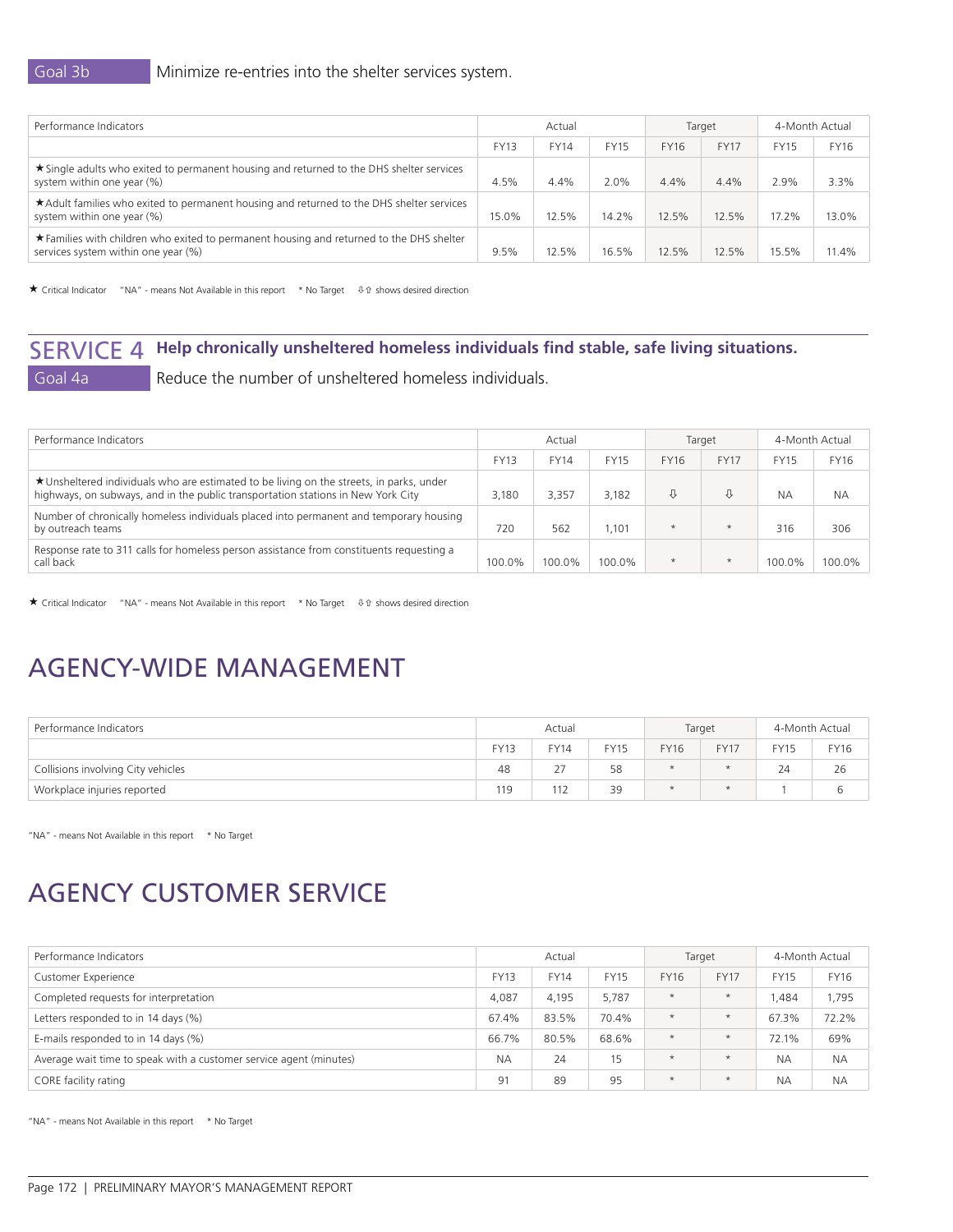| Performance Indicators                                                                                                          | Actual                                    |       |             |             | Target      | 4-Month Actual |       |
|---------------------------------------------------------------------------------------------------------------------------------|-------------------------------------------|-------|-------------|-------------|-------------|----------------|-------|
|                                                                                                                                 | <b>FY13</b><br><b>FY14</b><br><b>FY15</b> |       | <b>FY16</b> | <b>FY17</b> | <b>FY15</b> | <b>FY16</b>    |       |
| ★ Single adults who exited to permanent housing and returned to the DHS shelter services<br>system within one year (%)          | 4.5%                                      | 4.4%  | 2.0%        | 4.4%        | 4.4%        | 2.9%           | 3.3%  |
| ★ Adult families who exited to permanent housing and returned to the DHS shelter services<br>system within one year (%)         | 15.0%                                     | 12.5% | 14.2%       | 12.5%       | 12.5%       | 17.2%          | 13.0% |
| ★ Families with children who exited to permanent housing and returned to the DHS shelter<br>services system within one year (%) | 9.5%                                      | 12.5% | 16.5%       | 12.5%       | 12.5%       | 15.5%          | 11.4% |

 $\bigstar$  Critical Indicator "NA" - means Not Available in this report \* No Target  $\qquad$   $\oplus$   $\hat{v}$  shows desired direction

## SERVICE 4 **Help chronically unsheltered homeless individuals find stable, safe living situations.**<br>Goal 4a Reduce the number of unsheltered homeless individuals. Reduce the number of unsheltered homeless individuals.

| Performance Indicators                                                                                                                                                       | Actual                                    |        |             |             | Target      | 4-Month Actual |           |
|------------------------------------------------------------------------------------------------------------------------------------------------------------------------------|-------------------------------------------|--------|-------------|-------------|-------------|----------------|-----------|
|                                                                                                                                                                              | <b>FY13</b><br><b>FY15</b><br><b>FY14</b> |        | <b>FY16</b> | <b>FY17</b> | <b>FY15</b> | <b>FY16</b>    |           |
| ★ Unsheltered individuals who are estimated to be living on the streets, in parks, under<br>highways, on subways, and in the public transportation stations in New York City | 3.180                                     | 3.357  | 3.182       | ⇩           | ⇩           | NА             | <b>NA</b> |
| Number of chronically homeless individuals placed into permanent and temporary housing<br>by outreach teams                                                                  | 720                                       | 562    | .101        | $\star$     | $\star$     | 316            | 306       |
| Response rate to 311 calls for homeless person assistance from constituents requesting a<br>call back                                                                        | 100.0%                                    | 100.0% | 100.0%      | $\star$     | $\ast$      | 100.0%         | 100.0%    |

★ Critical Indicator "NA" - means Not Available in this report \* No Target 4 the shows desired direction

## AGENCY-WIDE MANAGEMENT

| Performance Indicators             | Actual      |             |             |         | Target      | 4-Month Actual |             |
|------------------------------------|-------------|-------------|-------------|---------|-------------|----------------|-------------|
|                                    | <b>FY13</b> | <b>FY14</b> | <b>FY15</b> | FY16    | <b>FY17</b> | FY15           | <b>FY16</b> |
| Collisions involving City vehicles | 48          | 77<br>ر ے   | 58          | $\star$ | $\star$     | 24             | 26          |
| Workplace injuries reported        | 119         | 112         | 39          | $\star$ | $\star$     |                |             |

"NA" - means Not Available in this report \* No Target

## AGENCY CUSTOMER SERVICE

| Performance Indicators                                             | Actual                                    |       |       | Target      |             | 4-Month Actual |           |
|--------------------------------------------------------------------|-------------------------------------------|-------|-------|-------------|-------------|----------------|-----------|
| <b>Customer Experience</b>                                         | <b>FY13</b><br><b>FY14</b><br><b>FY15</b> |       | FY16  | <b>FY17</b> | <b>FY15</b> | FY16           |           |
| Completed requests for interpretation                              | 4,087                                     | 4,195 | 5,787 | $\star$     | $\star$     | .484           | 1,795     |
| Letters responded to in 14 days (%)                                | 67.4%                                     | 83.5% | 70.4% | $\star$     | $\star$     | 67.3%          | 72.2%     |
| E-mails responded to in 14 days (%)                                | 66.7%                                     | 80.5% | 68.6% | $\star$     | $\star$     | 72.1%          | 69%       |
| Average wait time to speak with a customer service agent (minutes) | <b>NA</b>                                 | 24    | 15    | $\star$     | $\star$     | <b>NA</b>      | <b>NA</b> |
| CORE facility rating                                               | 91                                        | 89    | 95    | $\star$     | $\star$     | <b>NA</b>      | <b>NA</b> |

"NA" - means Not Available in this report \* No Target